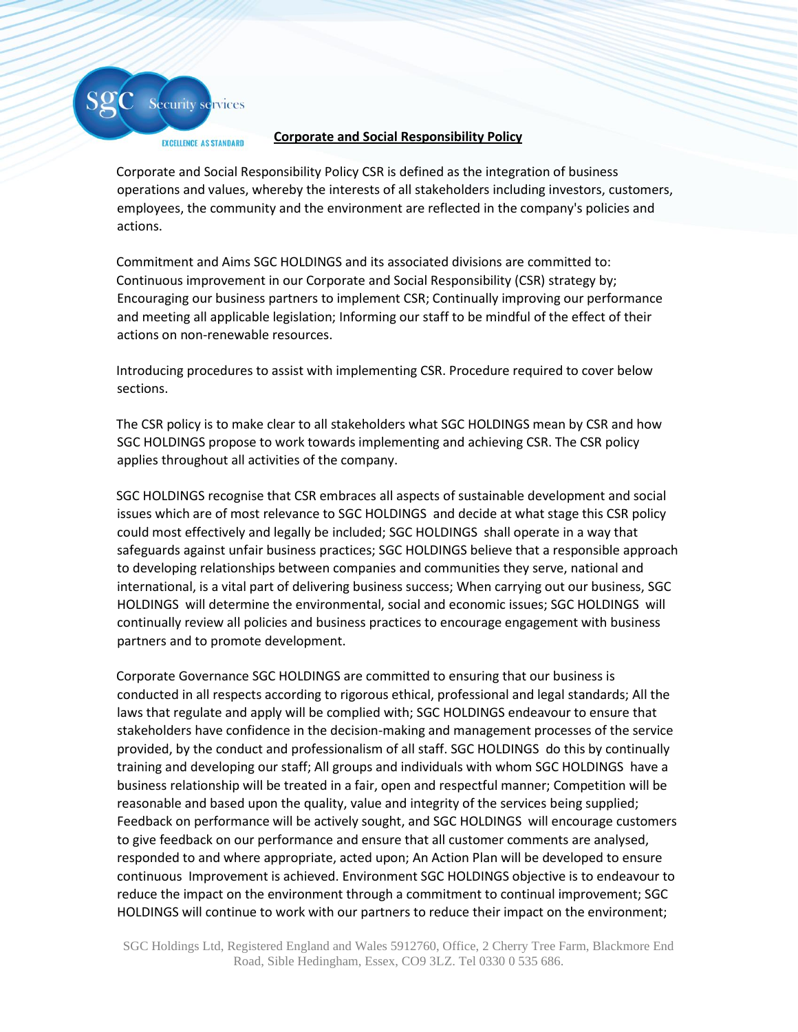

## **Corporate and Social Responsibility Policy**

Corporate and Social Responsibility Policy CSR is defined as the integration of business operations and values, whereby the interests of all stakeholders including investors, customers, employees, the community and the environment are reflected in the company's policies and actions.

Commitment and Aims SGC HOLDINGS and its associated divisions are committed to: Continuous improvement in our Corporate and Social Responsibility (CSR) strategy by; Encouraging our business partners to implement CSR; Continually improving our performance and meeting all applicable legislation; Informing our staff to be mindful of the effect of their actions on non-renewable resources.

Introducing procedures to assist with implementing CSR. Procedure required to cover below sections.

The CSR policy is to make clear to all stakeholders what SGC HOLDINGS mean by CSR and how SGC HOLDINGS propose to work towards implementing and achieving CSR. The CSR policy applies throughout all activities of the company.

SGC HOLDINGS recognise that CSR embraces all aspects of sustainable development and social issues which are of most relevance to SGC HOLDINGS and decide at what stage this CSR policy could most effectively and legally be included; SGC HOLDINGS shall operate in a way that safeguards against unfair business practices; SGC HOLDINGS believe that a responsible approach to developing relationships between companies and communities they serve, national and international, is a vital part of delivering business success; When carrying out our business, SGC HOLDINGS will determine the environmental, social and economic issues; SGC HOLDINGS will continually review all policies and business practices to encourage engagement with business partners and to promote development.

Corporate Governance SGC HOLDINGS are committed to ensuring that our business is conducted in all respects according to rigorous ethical, professional and legal standards; All the laws that regulate and apply will be complied with; SGC HOLDINGS endeavour to ensure that stakeholders have confidence in the decision-making and management processes of the service provided, by the conduct and professionalism of all staff. SGC HOLDINGS do this by continually training and developing our staff; All groups and individuals with whom SGC HOLDINGS have a business relationship will be treated in a fair, open and respectful manner; Competition will be reasonable and based upon the quality, value and integrity of the services being supplied; Feedback on performance will be actively sought, and SGC HOLDINGS will encourage customers to give feedback on our performance and ensure that all customer comments are analysed, responded to and where appropriate, acted upon; An Action Plan will be developed to ensure continuous Improvement is achieved. Environment SGC HOLDINGS objective is to endeavour to reduce the impact on the environment through a commitment to continual improvement; SGC HOLDINGS will continue to work with our partners to reduce their impact on the environment;